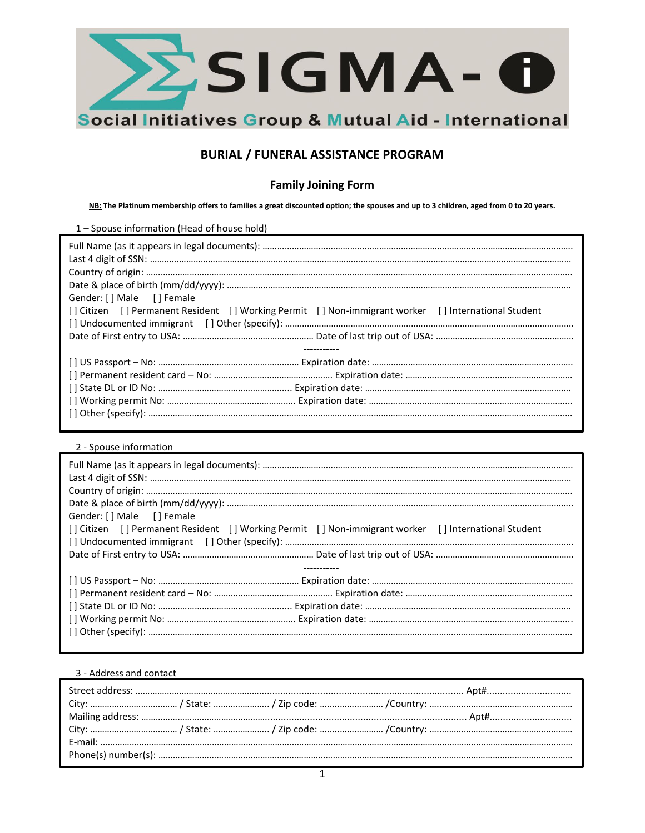

# **BURIAL / FUNERAL ASSISTANCE PROGRAM**

## **Family Joining Form**

**NB: The Platinum membership offers to families a great discounted option; the spouses and up to 3 children, aged from 0 to 20 years.** 

1 – Spouse information (Head of house hold)

| Gender: [ ] Male [ ] Female                                                                         |
|-----------------------------------------------------------------------------------------------------|
| [] Citizen [] Permanent Resident [] Working Permit [] Non-immigrant worker [] International Student |
|                                                                                                     |
|                                                                                                     |
|                                                                                                     |
|                                                                                                     |
|                                                                                                     |
|                                                                                                     |
|                                                                                                     |
|                                                                                                     |
|                                                                                                     |

2 - Spouse information

| Gender: [] Male [] Female                                                                           |
|-----------------------------------------------------------------------------------------------------|
| [] Citizen [] Permanent Resident [] Working Permit [] Non-immigrant worker [] International Student |
|                                                                                                     |
|                                                                                                     |
|                                                                                                     |
|                                                                                                     |
|                                                                                                     |
|                                                                                                     |
|                                                                                                     |
|                                                                                                     |

### 3 - Address and contact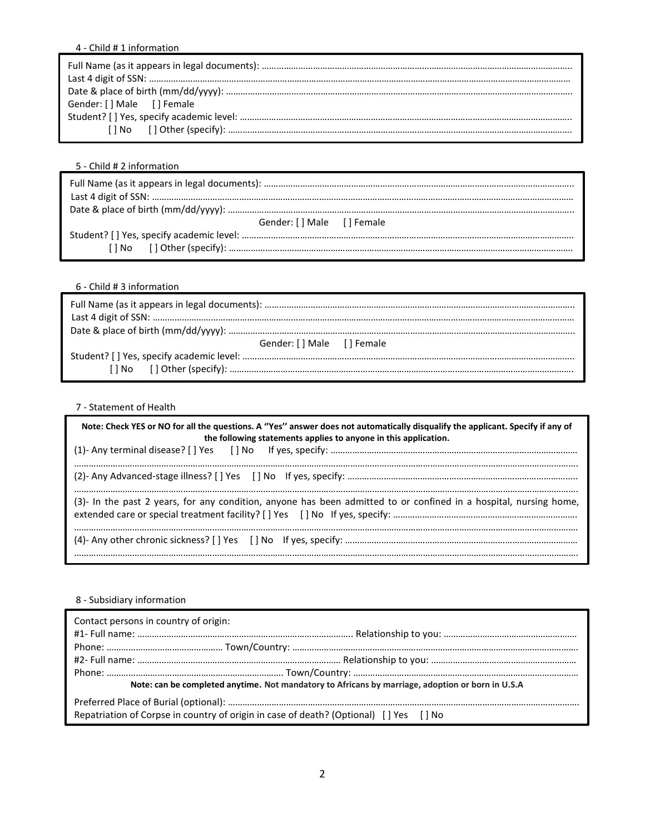## 4 - Child # 1 information

| Gender: [] Male [] Female |
|---------------------------|
|                           |
|                           |

5 - Child # 2 information

| Gender: [ ] Male [ ] Female |
|-----------------------------|
|                             |
|                             |

## 6 - Child # 3 information

| Gender: [ ] Male [ ] Female |
|-----------------------------|
|                             |
|                             |

## 7 - Statement of Health

| Note: Check YES or NO for all the questions. A "Yes" answer does not automatically disqualify the applicant. Specify if any of<br>the following statements applies to anyone in this application. |  |  |  |  |
|---------------------------------------------------------------------------------------------------------------------------------------------------------------------------------------------------|--|--|--|--|
|                                                                                                                                                                                                   |  |  |  |  |
|                                                                                                                                                                                                   |  |  |  |  |
| (3)- In the past 2 years, for any condition, anyone has been admitted to or confined in a hospital, nursing home,                                                                                 |  |  |  |  |
|                                                                                                                                                                                                   |  |  |  |  |

## 8 - Subsidiary information

| Contact persons in country of origin:                                                            |                                                                                       |  |  |
|--------------------------------------------------------------------------------------------------|---------------------------------------------------------------------------------------|--|--|
|                                                                                                  |                                                                                       |  |  |
|                                                                                                  |                                                                                       |  |  |
|                                                                                                  |                                                                                       |  |  |
| Note: can be completed anytime. Not mandatory to Africans by marriage, adoption or born in U.S.A |                                                                                       |  |  |
|                                                                                                  |                                                                                       |  |  |
|                                                                                                  | Repatriation of Corpse in country of origin in case of death? (Optional) [] Yes [] No |  |  |